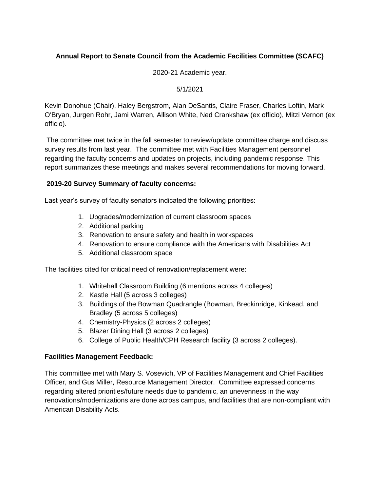# **Annual Report to Senate Council from the Academic Facilities Committee (SCAFC)**

2020-21 Academic year.

#### 5/1/2021

Kevin Donohue (Chair), Haley Bergstrom, Alan DeSantis, Claire Fraser, Charles Loftin, Mark O'Bryan, Jurgen Rohr, Jami Warren, Allison White, Ned Crankshaw (ex officio), Mitzi Vernon (ex officio).

The committee met twice in the fall semester to review/update committee charge and discuss survey results from last year. The committee met with Facilities Management personnel regarding the faculty concerns and updates on projects, including pandemic response. This report summarizes these meetings and makes several recommendations for moving forward.

### **2019-20 Survey Summary of faculty concerns:**

Last year's survey of faculty senators indicated the following priorities:

- 1. Upgrades/modernization of current classroom spaces
- 2. Additional parking
- 3. Renovation to ensure safety and health in workspaces
- 4. Renovation to ensure compliance with the Americans with Disabilities Act
- 5. Additional classroom space

The facilities cited for critical need of renovation/replacement were:

- 1. Whitehall Classroom Building (6 mentions across 4 colleges)
- 2. Kastle Hall (5 across 3 colleges)
- 3. Buildings of the Bowman Quadrangle (Bowman, Breckinridge, Kinkead, and Bradley (5 across 5 colleges)
- 4. Chemistry-Physics (2 across 2 colleges)
- 5. Blazer Dining Hall (3 across 2 colleges)
- 6. College of Public Health/CPH Research facility (3 across 2 colleges).

### **Facilities Management Feedback:**

This committee met with Mary S. Vosevich, VP of Facilities Management and Chief Facilities Officer, and Gus Miller, Resource Management Director. Committee expressed concerns regarding altered priorities/future needs due to pandemic, an unevenness in the way renovations/modernizations are done across campus, and facilities that are non-compliant with American Disability Acts.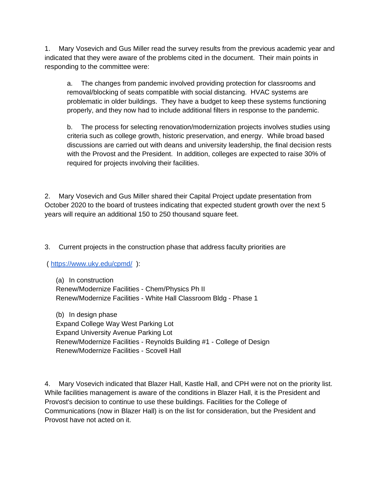1. Mary Vosevich and Gus Miller read the survey results from the previous academic year and indicated that they were aware of the problems cited in the document. Their main points in responding to the committee were:

a. The changes from pandemic involved providing protection for classrooms and removal/blocking of seats compatible with social distancing. HVAC systems are problematic in older buildings. They have a budget to keep these systems functioning properly, and they now had to include additional filters in response to the pandemic.

b. The process for selecting renovation/modernization projects involves studies using criteria such as college growth, historic preservation, and energy. While broad based discussions are carried out with deans and university leadership, the final decision rests with the Provost and the President. In addition, colleges are expected to raise 30% of required for projects involving their facilities.

2. Mary Vosevich and Gus Miller shared their Capital Project update presentation from October 2020 to the board of trustees indicating that expected student growth over the next 5 years will require an additional 150 to 250 thousand square feet.

3. Current projects in the construction phase that address faculty priorities are

[\(](https://www.uky.edu/cpmd/) <https://www.uky.edu/cpmd/>):

(a) In construction Renew/Modernize Facilities - Chem/Physics Ph II Renew/Modernize Facilities - White Hall Classroom Bldg - Phase 1

(b) In design phase Expand College Way West Parking Lot Expand University Avenue Parking Lot Renew/Modernize Facilities - Reynolds Building #1 - College of Design Renew/Modernize Facilities - Scovell Hall

4. Mary Vosevich indicated that Blazer Hall, Kastle Hall, and CPH were not on the priority list. While facilities management is aware of the conditions in Blazer Hall, it is the President and Provost's decision to continue to use these buildings. Facilities for the College of Communications (now in Blazer Hall) is on the list for consideration, but the President and Provost have not acted on it.